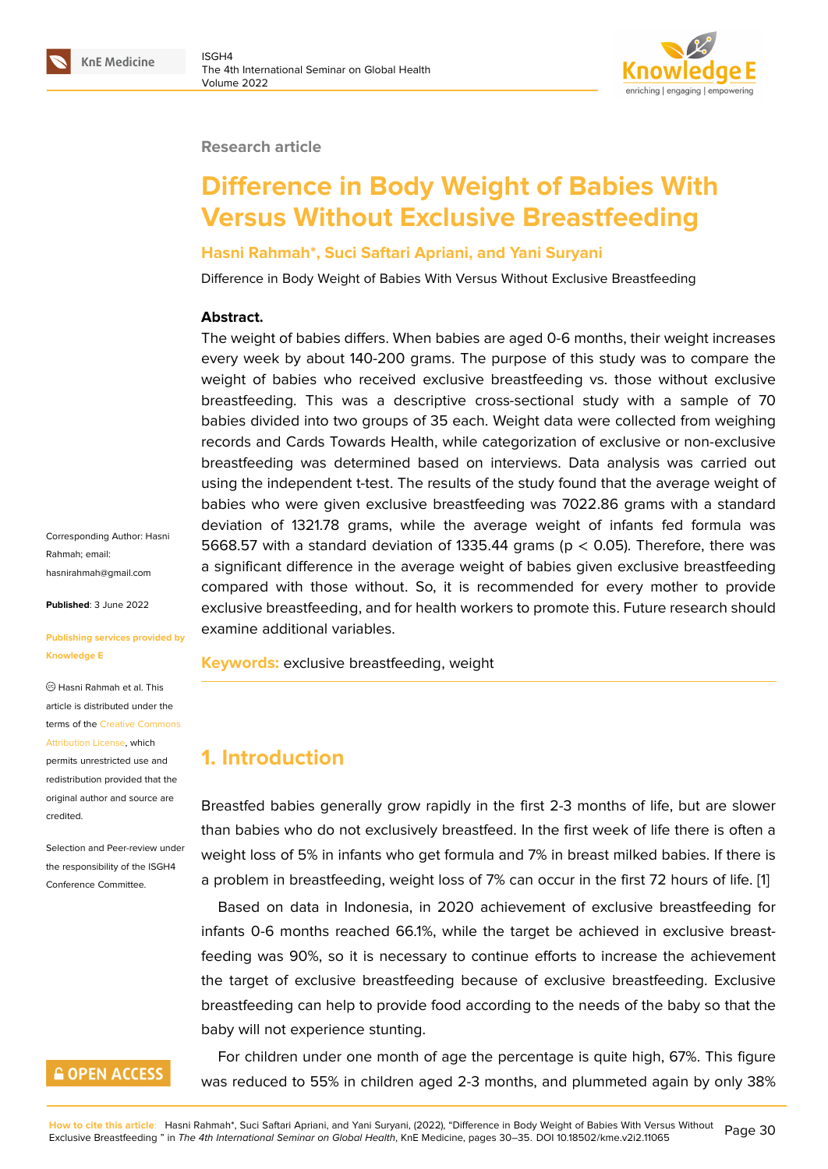#### **Research article**

# **Difference in Body Weight of Babies With Versus Without Exclusive Breastfeeding**

### **Hasni Rahmah\*, Suci Saftari Apriani, and Yani Suryani**

Difference in Body Weight of Babies With Versus Without Exclusive Breastfeeding

#### **Abstract.**

The weight of babies differs. When babies are aged 0-6 months, their weight increases every week by about 140-200 grams. The purpose of this study was to compare the weight of babies who received exclusive breastfeeding vs. those without exclusive breastfeeding. This was a descriptive cross-sectional study with a sample of 70 babies divided into two groups of 35 each. Weight data were collected from weighing records and Cards Towards Health, while categorization of exclusive or non-exclusive breastfeeding was determined based on interviews. Data analysis was carried out using the independent t-test. The results of the study found that the average weight of babies who were given exclusive breastfeeding was 7022.86 grams with a standard deviation of 1321.78 grams, while the average weight of infants fed formula was 5668.57 with a standard deviation of 1335.44 grams (p < 0.05). Therefore, there was a significant difference in the average weight of babies given exclusive breastfeeding compared with those without. So, it is recommended for every mother to provide exclusive breastfeeding, and for health workers to promote this. Future research should examine additional variables.

**Keywords:** exclusive breastfeeding, weight

# **1. Introduction**

Breastfed babies generally grow rapidly in the first 2-3 months of life, but are slower than babies who do not exclusively breastfeed. In the first week of life there is often a weight loss of 5% in infants who get formula and 7% in breast milked babies. If there is a problem in breastfeeding, weight loss of 7% can occur in the first 72 hours of life. [1]

Based on data in Indonesia, in 2020 achievement of exclusive breastfeeding for infants 0-6 months reached 66.1%, while the target be achieved in exclusive breastfeeding was 90%, so it is necessary to continue efforts to increase the achievem[en](#page-5-0)t the target of exclusive breastfeeding because of exclusive breastfeeding. Exclusive breastfeeding can help to provide food according to the needs of the baby so that the baby will not experience stunting.

For children under one month of age the percentage is quite high, 67%. This figure was reduced to 55% in children aged 2-3 months, and plummeted again by only 38%

Corresponding Author: Hasni Rahmah; email: hasnirahmah@gmail.com

**Published**: 3 June 2022

#### **[Publishing services prov](mailto:hasnirahmah@gmail.com)ided by Knowledge E**

Hasni Rahmah et al. This article is distributed under the terms of the Creative Commons Attribution License, which

permits unrestricted use and redistribution provided that the original auth[or and source are](https://creativecommons.org/licenses/by/4.0/) [credited.](https://creativecommons.org/licenses/by/4.0/)

Selection and Peer-review under the responsibility of the ISGH4 Conference Committee.

## **GOPEN ACCESS**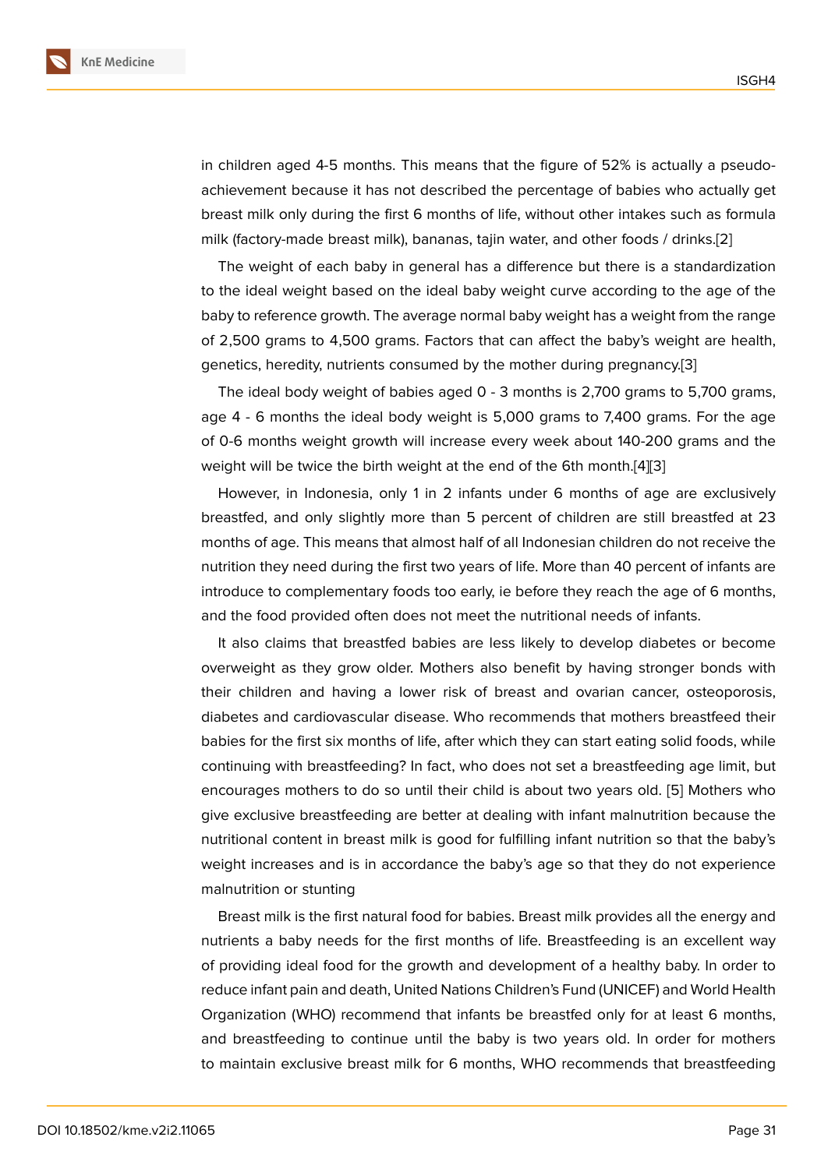in children aged 4-5 months. This means that the figure of 52% is actually a pseudoachievement because it has not described the percentage of babies who actually get breast milk only during the first 6 months of life, without other intakes such as formula milk (factory-made breast milk), bananas, tajin water, and other foods / drinks.[2]

The weight of each baby in general has a difference but there is a standardization to the ideal weight based on the ideal baby weight curve according to the age of the baby to reference growth. The average normal baby weight has a weight from t[he](#page-5-1) range of 2,500 grams to 4,500 grams. Factors that can affect the baby's weight are health, genetics, heredity, nutrients consumed by the mother during pregnancy.[3]

The ideal body weight of babies aged 0 - 3 months is 2,700 grams to 5,700 grams, age 4 - 6 months the ideal body weight is 5,000 grams to 7,400 grams. For the age of 0-6 months weight growth will increase every week about 140-200 [gra](#page-5-2)ms and the weight will be twice the birth weight at the end of the 6th month.[4][3]

However, in Indonesia, only 1 in 2 infants under 6 months of age are exclusively breastfed, and only slightly more than 5 percent of children are still breastfed at 23 months of age. This means that almost half of all Indonesian childr[en](#page-5-3) [d](#page-5-2)o not receive the nutrition they need during the first two years of life. More than 40 percent of infants are introduce to complementary foods too early, ie before they reach the age of 6 months, and the food provided often does not meet the nutritional needs of infants.

It also claims that breastfed babies are less likely to develop diabetes or become overweight as they grow older. Mothers also benefit by having stronger bonds with their children and having a lower risk of breast and ovarian cancer, osteoporosis, diabetes and cardiovascular disease. Who recommends that mothers breastfeed their babies for the first six months of life, after which they can start eating solid foods, while continuing with breastfeeding? In fact, who does not set a breastfeeding age limit, but encourages mothers to do so until their child is about two years old. [5] Mothers who give exclusive breastfeeding are better at dealing with infant malnutrition because the nutritional content in breast milk is good for fulfilling infant nutrition so that the baby's weight increases and is in accordance the baby's age so that they do [n](#page-5-4)ot experience malnutrition or stunting

Breast milk is the first natural food for babies. Breast milk provides all the energy and nutrients a baby needs for the first months of life. Breastfeeding is an excellent way of providing ideal food for the growth and development of a healthy baby. In order to reduce infant pain and death, United Nations Children's Fund (UNICEF) and World Health Organization (WHO) recommend that infants be breastfed only for at least 6 months, and breastfeeding to continue until the baby is two years old. In order for mothers to maintain exclusive breast milk for 6 months, WHO recommends that breastfeeding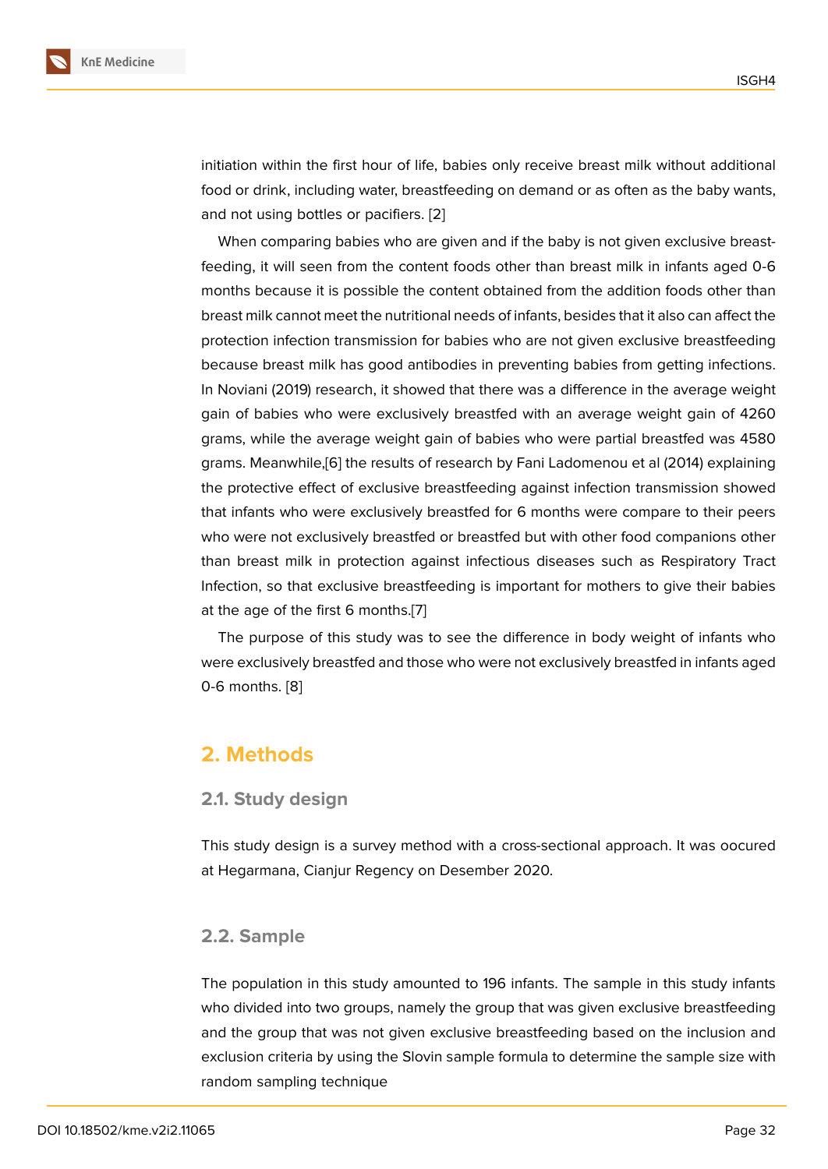initiation within the first hour of life, babies only receive breast milk without additional food or drink, including water, breastfeeding on demand or as often as the baby wants, and not using bottles or pacifiers. [2]

When comparing babies who are given and if the baby is not given exclusive breastfeeding, it will seen from the content foods other than breast milk in infants aged 0-6 months because it is possible the [co](#page-5-1)ntent obtained from the addition foods other than breast milk cannot meet the nutritional needs of infants, besides that it also can affect the protection infection transmission for babies who are not given exclusive breastfeeding because breast milk has good antibodies in preventing babies from getting infections. In Noviani (2019) research, it showed that there was a difference in the average weight gain of babies who were exclusively breastfed with an average weight gain of 4260 grams, while the average weight gain of babies who were partial breastfed was 4580 grams. Meanwhile,[6] the results of research by Fani Ladomenou et al (2014) explaining the protective effect of exclusive breastfeeding against infection transmission showed that infants who were exclusively breastfed for 6 months were compare to their peers who were not excl[us](#page-5-5)ively breastfed or breastfed but with other food companions other than breast milk in protection against infectious diseases such as Respiratory Tract Infection, so that exclusive breastfeeding is important for mothers to give their babies at the age of the first 6 months.[7]

The purpose of this study was to see the difference in body weight of infants who were exclusively breastfed and those who were not exclusively breastfed in infants aged 0-6 months. [8]

## **2. Metho[d](#page-5-6)s**

#### **2.1. Study design**

This study design is a survey method with a cross-sectional approach. It was oocured at Hegarmana, Cianjur Regency on Desember 2020.

#### **2.2. Sample**

The population in this study amounted to 196 infants. The sample in this study infants who divided into two groups, namely the group that was given exclusive breastfeeding and the group that was not given exclusive breastfeeding based on the inclusion and exclusion criteria by using the Slovin sample formula to determine the sample size with random sampling technique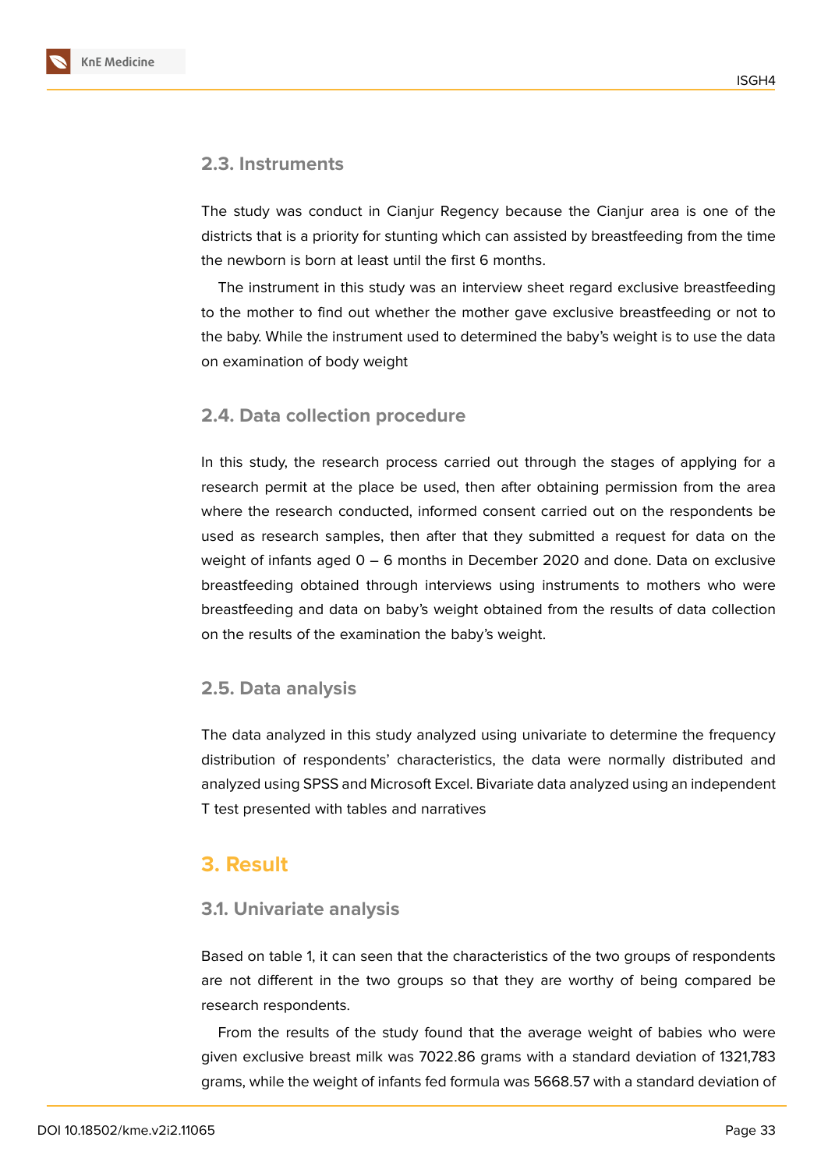

The study was conduct in Cianjur Regency because the Cianjur area is one of the districts that is a priority for stunting which can assisted by breastfeeding from the time the newborn is born at least until the first 6 months.

The instrument in this study was an interview sheet regard exclusive breastfeeding to the mother to find out whether the mother gave exclusive breastfeeding or not to the baby. While the instrument used to determined the baby's weight is to use the data on examination of body weight

#### **2.4. Data collection procedure**

In this study, the research process carried out through the stages of applying for a research permit at the place be used, then after obtaining permission from the area where the research conducted, informed consent carried out on the respondents be used as research samples, then after that they submitted a request for data on the weight of infants aged 0 – 6 months in December 2020 and done. Data on exclusive breastfeeding obtained through interviews using instruments to mothers who were breastfeeding and data on baby's weight obtained from the results of data collection on the results of the examination the baby's weight.

#### **2.5. Data analysis**

The data analyzed in this study analyzed using univariate to determine the frequency distribution of respondents' characteristics, the data were normally distributed and analyzed using SPSS and Microsoft Excel. Bivariate data analyzed using an independent T test presented with tables and narratives

## **3. Result**

#### **3.1. Univariate analysis**

Based on table 1, it can seen that the characteristics of the two groups of respondents are not different in the two groups so that they are worthy of being compared be research respondents.

From the results of the study found that the average weight of babies who were given exclusive breast milk was 7022.86 grams with a standard deviation of 1321,783 grams, while the weight of infants fed formula was 5668.57 with a standard deviation of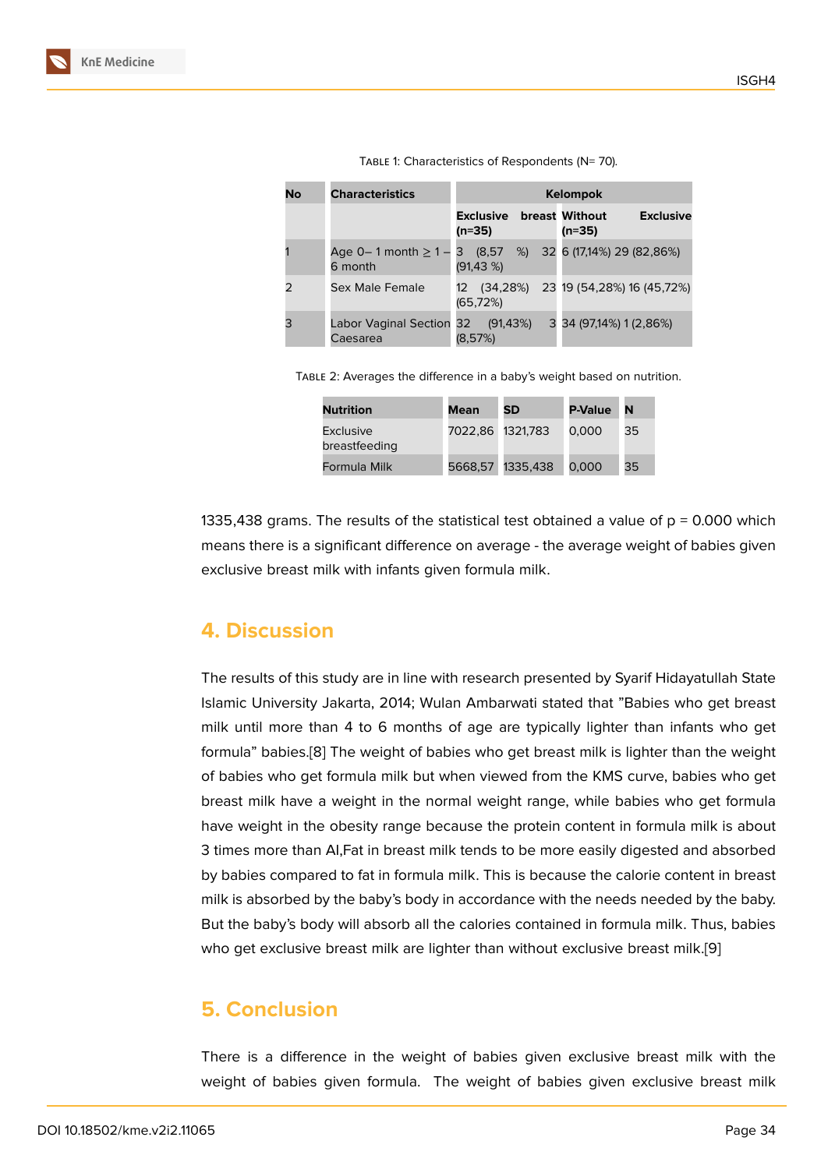| No | <b>Characteristics</b>               | <b>Kelompok</b>                           |                                        |  |  |
|----|--------------------------------------|-------------------------------------------|----------------------------------------|--|--|
|    |                                      | <b>Exclusive</b> breast Without<br>(n=35) | <b>Exclusive</b><br>(n=35)             |  |  |
|    | Age $0-1$ month $\geq 1-$<br>6 month | З<br>(91, 43%)                            | $(8,57 \%)$ 32 6 (17,14%) 29 (82,86%)  |  |  |
|    | Sex Male Female                      | $12 \overline{ }$<br>(65, 72%)            | $(34,28\%)$ 23 19 (54,28%) 16 (45,72%) |  |  |
| 3  | Labor Vaginal Section 32<br>Caesarea | (91, 43%)<br>(8.57%)                      | 3 34 (97,14%) 1 (2,86%)                |  |  |

TABLE 1: Characteristics of Respondents (N= 70).

Table 2: Averages the difference in a baby's weight based on nutrition.

| <b>Nutrition</b>                  | Mean             | <b>SD</b>        | <b>P-Value</b> | N  |
|-----------------------------------|------------------|------------------|----------------|----|
| <b>Exclusive</b><br>breastfeeding | 7022,86 1321,783 |                  | 0.000          | 35 |
| Formula Milk                      |                  | 5668,57 1335,438 | 0.000          | 35 |

1335,438 grams. The results of the statistical test obtained a value of  $p = 0.000$  which means there is a significant difference on average - the average weight of babies given exclusive breast milk with infants given formula milk.

## **4. Discussion**

The results of this study are in line with research presented by Syarif Hidayatullah State Islamic University Jakarta, 2014; Wulan Ambarwati stated that "Babies who get breast milk until more than 4 to 6 months of age are typically lighter than infants who get formula" babies.[8] The weight of babies who get breast milk is lighter than the weight of babies who get formula milk but when viewed from the KMS curve, babies who get breast milk have a weight in the normal weight range, while babies who get formula have weight in t[he](#page-5-6) obesity range because the protein content in formula milk is about 3 times more than AI,Fat in breast milk tends to be more easily digested and absorbed by babies compared to fat in formula milk. This is because the calorie content in breast milk is absorbed by the baby's body in accordance with the needs needed by the baby. But the baby's body will absorb all the calories contained in formula milk. Thus, babies who get exclusive breast milk are lighter than without exclusive breast milk.[9]

# **5. Conclusion**

There is a difference in the weight of babies given exclusive breast milk with the weight of babies given formula. The weight of babies given exclusive breast milk